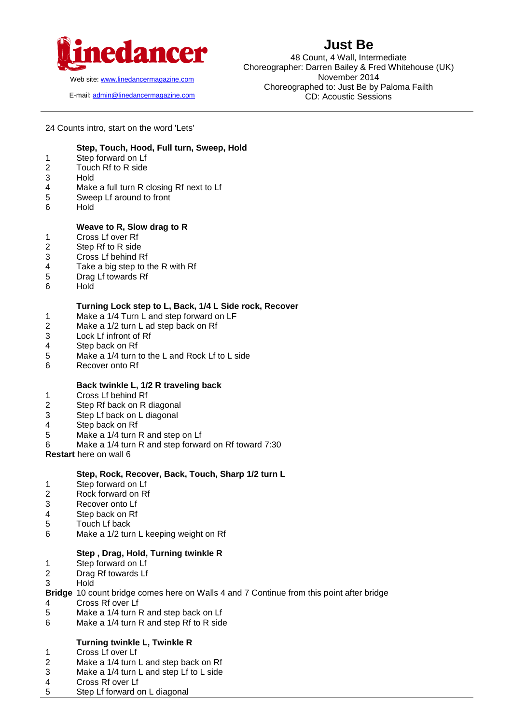

Web site[: www.linedancermagazine.com](http://www.linedancermagazine.com/)

E-mail: [admin@linedancermagazine.com](mailto:admin@linedancermagazine.com)

# **Just Be**

48 Count, 4 Wall, Intermediate Choreographer: Darren Bailey & Fred Whitehouse (UK) November 2014 Choreographed to: Just Be by Paloma Failth CD: Acoustic Sessions

24 Counts intro, start on the word 'Lets'

# **Step, Touch, Hood, Full turn, Sweep, Hold**

- 1 Step forward on Lf<br>2 Touch Rf to R side
- Touch Rf to R side
- 3 Hold
- 4 Make a full turn R closing Rf next to Lf
- 5 Sweep Lf around to front
- 6 Hold

#### **Weave to R, Slow drag to R**

- 1 Cross Lf over Rf
- 2 Step Rf to R side
- 3 Cross Lf behind Rf
- 4 Take a big step to the R with Rf
- 5 Drag Lf towards Rf
- 6 Hold

#### **Turning Lock step to L, Back, 1/4 L Side rock, Recover**

- 1 Make a 1/4 Turn L and step forward on LF
- 2 Make a 1/2 turn L ad step back on Rf
- 3 Lock Lf infront of Rf
- 4 Step back on Rf
- 5 Make a 1/4 turn to the L and Rock Lf to L side
- 6 Recover onto Rf

#### **Back twinkle L, 1/2 R traveling back**

- 1 Cross Lf behind Rf
- 2 Step Rf back on R diagonal
- 3 Step Lf back on L diagonal
- 4 Step back on Rf
- 5 Make a 1/4 turn R and step on Lf
- 6 Make a 1/4 turn R and step forward on Rf toward 7:30
- **Restart** here on wall 6

#### **Step, Rock, Recover, Back, Touch, Sharp 1/2 turn L**

- 1 Step forward on Lf
- 2 Rock forward on Rf<br>3 Recover onto Lf
- Recover onto Lf
- 4 Step back on Rf
- 5 Touch Lf back
- 6 Make a 1/2 turn L keeping weight on Rf

#### **Step , Drag, Hold, Turning twinkle R**

- 1 Step forward on Lf
- 2 Drag Rf towards Lf
- 3 Hold
- **Bridge** 10 count bridge comes here on Walls 4 and 7 Continue from this point after bridge
- 4 Cross Rf over Lf
- 5 Make a 1/4 turn R and step back on Lf
- 6 Make a 1/4 turn R and step Rf to R side

# **Turning twinkle L, Twinkle R**

- 1 Cross Lf over Lf<br>2 Make a 1/4 turn
- Make a 1/4 turn L and step back on Rf
- 3 Make a 1/4 turn L and step Lf to L side
- 4 Cross Rf over Lf
- 5 Step Lf forward on L diagonal